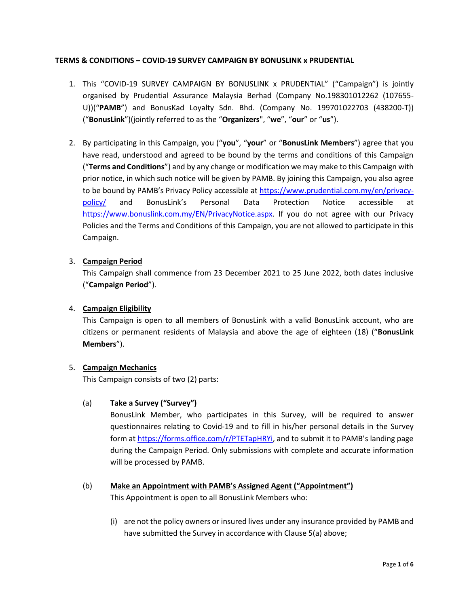## **TERMS & CONDITIONS – COVID-19 SURVEY CAMPAIGN BY BONUSLINK x PRUDENTIAL**

- 1. This "COVID-19 SURVEY CAMPAIGN BY BONUSLINK x PRUDENTIAL" ("Campaign") is jointly organised by Prudential Assurance Malaysia Berhad (Company No.198301012262 (107655- U))("**PAMB**") and BonusKad Loyalty Sdn. Bhd. (Company No. 199701022703 (438200-T)) ("**BonusLink**")(jointly referred to as the "**Organizers**", "**we**", "**our**" or "**us**").
- 2. By participating in this Campaign, you ("**you**", "**your**" or "**BonusLink Members**") agree that you have read, understood and agreed to be bound by the terms and conditions of this Campaign ("**Terms and Conditions**") and by any change or modification we may make to this Campaign with prior notice, in which such notice will be given by PAMB. By joining this Campaign, you also agree to be bound by PAMB's Privacy Policy accessible at [https://www.prudential.com.my/en/privacy](https://www.prudential.com.my/en/privacy-policy/)[policy/](https://www.prudential.com.my/en/privacy-policy/) and BonusLink's Personal Data Protection Notice accessible at [https://www.bonuslink.com.my/EN/PrivacyNotice.aspx.](https://www.bonuslink.com.my/EN/PrivacyNotice.aspx) If you do not agree with our Privacy Policies and the Terms and Conditions of this Campaign, you are not allowed to participate in this Campaign.

## 3. **Campaign Period**

This Campaign shall commence from 23 December 2021 to 25 June 2022, both dates inclusive ("**Campaign Period**").

## 4. **Campaign Eligibility**

This Campaign is open to all members of BonusLink with a valid BonusLink account, who are citizens or permanent residents of Malaysia and above the age of eighteen (18) ("**BonusLink Members**").

## 5. **Campaign Mechanics**

This Campaign consists of two (2) parts:

## (a) **Take a Survey ("Survey")**

BonusLink Member, who participates in this Survey, will be required to answer questionnaires relating to Covid-19 and to fill in his/her personal details in the Survey form a[t https://forms.office.com/r/PTETapHRYi,](https://forms.office.com/r/PTETapHRYi) and to submit it to PAMB's landing page during the Campaign Period. Only submissions with complete and accurate information will be processed by PAMB.

# (b) **Make an Appointment with PAMB's Assigned Agent ("Appointment")**

This Appointment is open to all BonusLink Members who:

(i) are not the policy owners or insured lives under any insurance provided by PAMB and have submitted the Survey in accordance with Clause 5(a) above;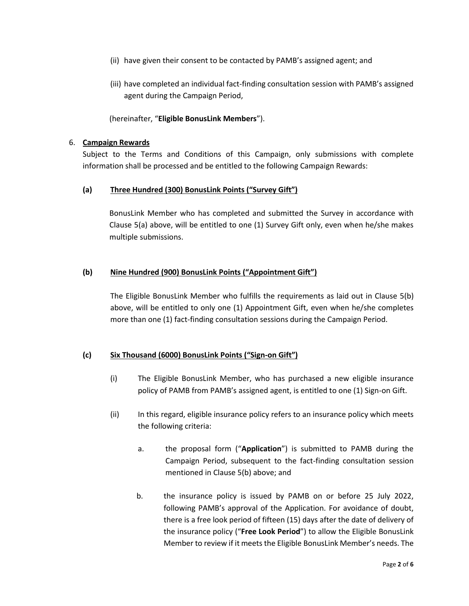- (ii) have given their consent to be contacted by PAMB's assigned agent; and
- (iii) have completed an individual fact-finding consultation session with PAMB's assigned agent during the Campaign Period,

(hereinafter, "**Eligible BonusLink Members**").

#### 6. **Campaign Rewards**

Subject to the Terms and Conditions of this Campaign, only submissions with complete information shall be processed and be entitled to the following Campaign Rewards:

## **(a) Three Hundred (300) BonusLink Points ("Survey Gift")**

BonusLink Member who has completed and submitted the Survey in accordance with Clause 5(a) above, will be entitled to one (1) Survey Gift only, even when he/she makes multiple submissions.

## **(b) Nine Hundred (900) BonusLink Points ("Appointment Gift")**

The Eligible BonusLink Member who fulfills the requirements as laid out in Clause 5(b) above, will be entitled to only one (1) Appointment Gift, even when he/she completes more than one (1) fact-finding consultation sessions during the Campaign Period.

## **(c) Six Thousand (6000) BonusLink Points ("Sign-on Gift")**

- (i) The Eligible BonusLink Member, who has purchased a new eligible insurance policy of PAMB from PAMB's assigned agent, is entitled to one (1) Sign-on Gift.
- (ii) In this regard, eligible insurance policy refers to an insurance policy which meets the following criteria:
	- a. the proposal form ("**Application**") is submitted to PAMB during the Campaign Period, subsequent to the fact-finding consultation session mentioned in Clause 5(b) above; and
	- b. the insurance policy is issued by PAMB on or before 25 July 2022, following PAMB's approval of the Application. For avoidance of doubt, there is a free look period of fifteen (15) days after the date of delivery of the insurance policy ("**Free Look Period**") to allow the Eligible BonusLink Member to review if it meets the Eligible BonusLink Member's needs. The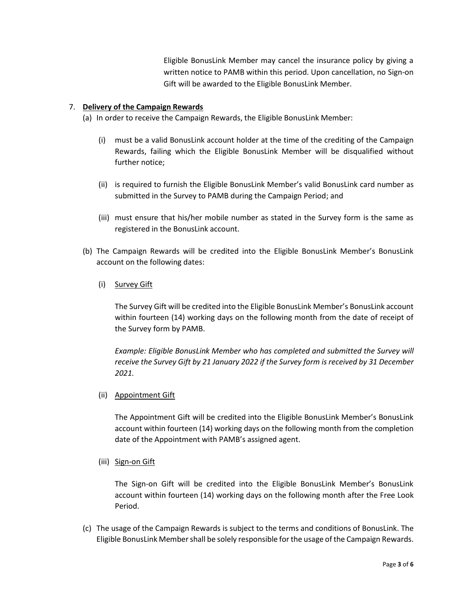Eligible BonusLink Member may cancel the insurance policy by giving a written notice to PAMB within this period. Upon cancellation, no Sign-on Gift will be awarded to the Eligible BonusLink Member.

## 7. **Delivery of the Campaign Rewards**

- (a) In order to receive the Campaign Rewards, the Eligible BonusLink Member:
	- (i) must be a valid BonusLink account holder at the time of the crediting of the Campaign Rewards, failing which the Eligible BonusLink Member will be disqualified without further notice;
	- (ii) is required to furnish the Eligible BonusLink Member's valid BonusLink card number as submitted in the Survey to PAMB during the Campaign Period; and
	- (iii) must ensure that his/her mobile number as stated in the Survey form is the same as registered in the BonusLink account.
- (b) The Campaign Rewards will be credited into the Eligible BonusLink Member's BonusLink account on the following dates:
	- (i) Survey Gift

The Survey Gift will be credited into the Eligible BonusLink Member's BonusLink account within fourteen (14) working days on the following month from the date of receipt of the Survey form by PAMB.

*Example: Eligible BonusLink Member who has completed and submitted the Survey will receive the Survey Gift by 21 January 2022 if the Survey form is received by 31 December 2021.*

(ii) Appointment Gift

The Appointment Gift will be credited into the Eligible BonusLink Member's BonusLink account within fourteen (14) working days on the following month from the completion date of the Appointment with PAMB's assigned agent.

(iii) Sign-on Gift

The Sign-on Gift will be credited into the Eligible BonusLink Member's BonusLink account within fourteen (14) working days on the following month after the Free Look Period.

(c) The usage of the Campaign Rewards is subject to the terms and conditions of BonusLink. The Eligible BonusLink Member shall be solely responsible for the usage of the Campaign Rewards.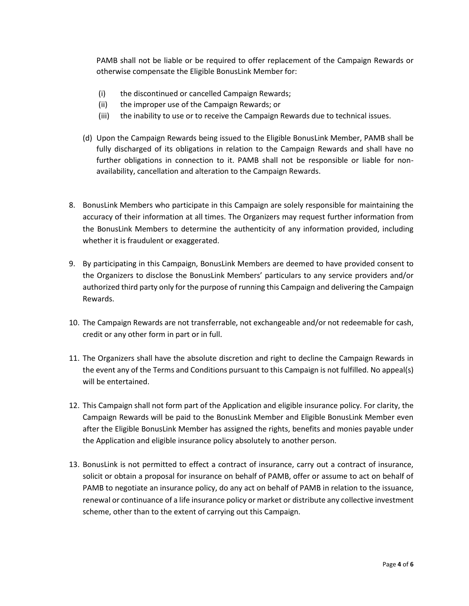PAMB shall not be liable or be required to offer replacement of the Campaign Rewards or otherwise compensate the Eligible BonusLink Member for:

- (i) the discontinued or cancelled Campaign Rewards;
- (ii) the improper use of the Campaign Rewards; or
- (iii) the inability to use or to receive the Campaign Rewards due to technical issues.
- (d) Upon the Campaign Rewards being issued to the Eligible BonusLink Member, PAMB shall be fully discharged of its obligations in relation to the Campaign Rewards and shall have no further obligations in connection to it. PAMB shall not be responsible or liable for nonavailability, cancellation and alteration to the Campaign Rewards.
- 8. BonusLink Members who participate in this Campaign are solely responsible for maintaining the accuracy of their information at all times. The Organizers may request further information from the BonusLink Members to determine the authenticity of any information provided, including whether it is fraudulent or exaggerated.
- 9. By participating in this Campaign, BonusLink Members are deemed to have provided consent to the Organizers to disclose the BonusLink Members' particulars to any service providers and/or authorized third party only for the purpose of running this Campaign and delivering the Campaign Rewards.
- 10. The Campaign Rewards are not transferrable, not exchangeable and/or not redeemable for cash, credit or any other form in part or in full.
- 11. The Organizers shall have the absolute discretion and right to decline the Campaign Rewards in the event any of the Terms and Conditions pursuant to this Campaign is not fulfilled. No appeal(s) will be entertained.
- 12. This Campaign shall not form part of the Application and eligible insurance policy. For clarity, the Campaign Rewards will be paid to the BonusLink Member and Eligible BonusLink Member even after the Eligible BonusLink Member has assigned the rights, benefits and monies payable under the Application and eligible insurance policy absolutely to another person.
- 13. BonusLink is not permitted to effect a contract of insurance, carry out a contract of insurance, solicit or obtain a proposal for insurance on behalf of PAMB, offer or assume to act on behalf of PAMB to negotiate an insurance policy, do any act on behalf of PAMB in relation to the issuance, renewal or continuance of a life insurance policy or market or distribute any collective investment scheme, other than to the extent of carrying out this Campaign.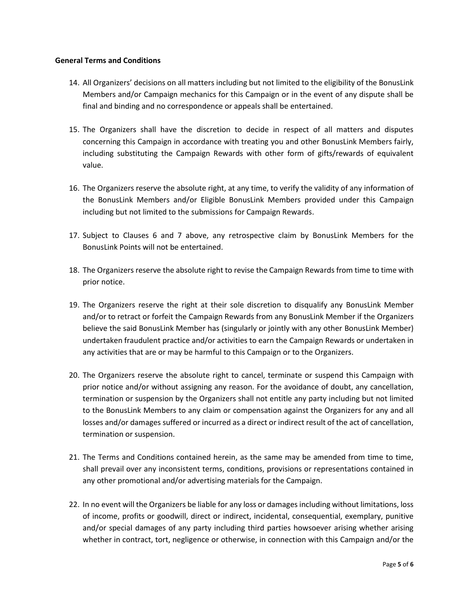#### **General Terms and Conditions**

- 14. All Organizers' decisions on all matters including but not limited to the eligibility of the BonusLink Members and/or Campaign mechanics for this Campaign or in the event of any dispute shall be final and binding and no correspondence or appeals shall be entertained.
- 15. The Organizers shall have the discretion to decide in respect of all matters and disputes concerning this Campaign in accordance with treating you and other BonusLink Members fairly, including substituting the Campaign Rewards with other form of gifts/rewards of equivalent value.
- 16. The Organizers reserve the absolute right, at any time, to verify the validity of any information of the BonusLink Members and/or Eligible BonusLink Members provided under this Campaign including but not limited to the submissions for Campaign Rewards.
- 17. Subject to Clauses 6 and 7 above, any retrospective claim by BonusLink Members for the BonusLink Points will not be entertained.
- 18. The Organizers reserve the absolute right to revise the Campaign Rewards from time to time with prior notice.
- 19. The Organizers reserve the right at their sole discretion to disqualify any BonusLink Member and/or to retract or forfeit the Campaign Rewards from any BonusLink Member if the Organizers believe the said BonusLink Member has (singularly or jointly with any other BonusLink Member) undertaken fraudulent practice and/or activities to earn the Campaign Rewards or undertaken in any activities that are or may be harmful to this Campaign or to the Organizers.
- 20. The Organizers reserve the absolute right to cancel, terminate or suspend this Campaign with prior notice and/or without assigning any reason. For the avoidance of doubt, any cancellation, termination or suspension by the Organizers shall not entitle any party including but not limited to the BonusLink Members to any claim or compensation against the Organizers for any and all losses and/or damages suffered or incurred as a direct or indirect result of the act of cancellation, termination or suspension.
- 21. The Terms and Conditions contained herein, as the same may be amended from time to time, shall prevail over any inconsistent terms, conditions, provisions or representations contained in any other promotional and/or advertising materials for the Campaign.
- 22. In no event will the Organizers be liable for any loss or damages including without limitations, loss of income, profits or goodwill, direct or indirect, incidental, consequential, exemplary, punitive and/or special damages of any party including third parties howsoever arising whether arising whether in contract, tort, negligence or otherwise, in connection with this Campaign and/or the